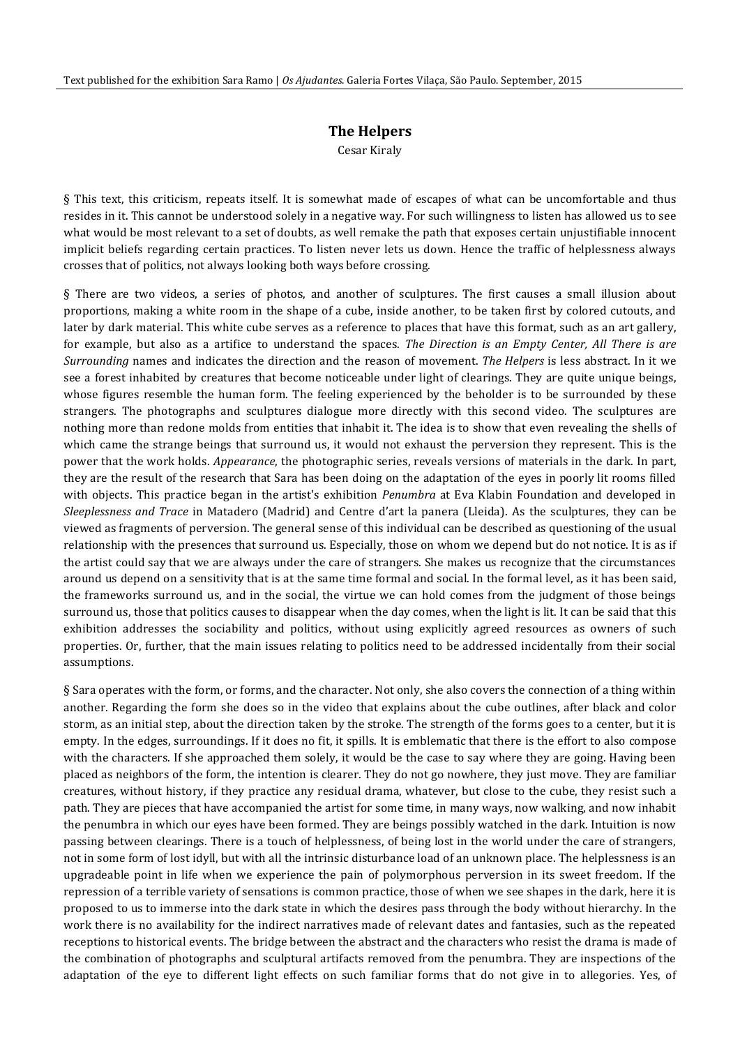## **The Helpers**

Cesar Kiraly

§ This text, this criticism, repeats itself. It is somewhat made of escapes of what can be uncomfortable and thus resides in it. This cannot be understood solely in a negative way. For such willingness to listen has allowed us to see what would be most relevant to a set of doubts, as well remake the path that exposes certain unjustifiable innocent implicit beliefs regarding certain practices. To listen never lets us down. Hence the traffic of helplessness always crosses that of politics, not always looking both ways before crossing.

§ There are two videos, a series of photos, and another of sculptures. The first causes a small illusion about proportions, making a white room in the shape of a cube, inside another, to be taken first by colored cutouts, and later by dark material. This white cube serves as a reference to places that have this format, such as an art gallery, for example, but also as a artifice to understand the spaces. *The Direction is an Empty Center, All There is are Surrounding* names and indicates the direction and the reason of movement. *The Helpers* is less abstract. In it we see a forest inhabited by creatures that become noticeable under light of clearings. They are quite unique beings, whose figures resemble the human form. The feeling experienced by the beholder is to be surrounded by these strangers. The photographs and sculptures dialogue more directly with this second video. The sculptures are nothing more than redone molds from entities that inhabit it. The idea is to show that even revealing the shells of which came the strange beings that surround us, it would not exhaust the perversion they represent. This is the power that the work holds. *Appearance*, the photographic series, reveals versions of materials in the dark. In part, they are the result of the research that Sara has been doing on the adaptation of the eyes in poorly lit rooms filled with objects. This practice began in the artist's exhibition *Penumbra* at Eva Klabin Foundation and developed in *Sleeplessness and Trace* in Matadero (Madrid) and Centre d'art la panera (Lleida). As the sculptures, they can be viewed as fragments of perversion. The general sense of this individual can be described as questioning of the usual relationship with the presences that surround us. Especially, those on whom we depend but do not notice. It is as if the artist could say that we are always under the care of strangers. She makes us recognize that the circumstances around us depend on a sensitivity that is at the same time formal and social. In the formal level, as it has been said, the frameworks surround us, and in the social, the virtue we can hold comes from the judgment of those beings surround us, those that politics causes to disappear when the day comes, when the light is lit. It can be said that this exhibition addresses the sociability and politics, without using explicitly agreed resources as owners of such properties. Or, further, that the main issues relating to politics need to be addressed incidentally from their social assumptions.

§ Sara operates with the form, or forms, and the character. Not only, she also covers the connection of a thing within another. Regarding the form she does so in the video that explains about the cube outlines, after black and color storm, as an initial step, about the direction taken by the stroke. The strength of the forms goes to a center, but it is empty. In the edges, surroundings. If it does no fit, it spills. It is emblematic that there is the effort to also compose with the characters. If she approached them solely, it would be the case to say where they are going. Having been placed as neighbors of the form, the intention is clearer. They do not go nowhere, they just move. They are familiar creatures, without history, if they practice any residual drama, whatever, but close to the cube, they resist such a path. They are pieces that have accompanied the artist for some time, in many ways, now walking, and now inhabit the penumbra in which our eyes have been formed. They are beings possibly watched in the dark. Intuition is now passing between clearings. There is a touch of helplessness, of being lost in the world under the care of strangers, not in some form of lost idyll, but with all the intrinsic disturbance load of an unknown place. The helplessness is an upgradeable point in life when we experience the pain of polymorphous perversion in its sweet freedom. If the repression of a terrible variety of sensations is common practice, those of when we see shapes in the dark, here it is proposed to us to immerse into the dark state in which the desires pass through the body without hierarchy. In the work there is no availability for the indirect narratives made of relevant dates and fantasies, such as the repeated receptions to historical events. The bridge between the abstract and the characters who resist the drama is made of the combination of photographs and sculptural artifacts removed from the penumbra. They are inspections of the adaptation of the eye to different light effects on such familiar forms that do not give in to allegories. Yes, of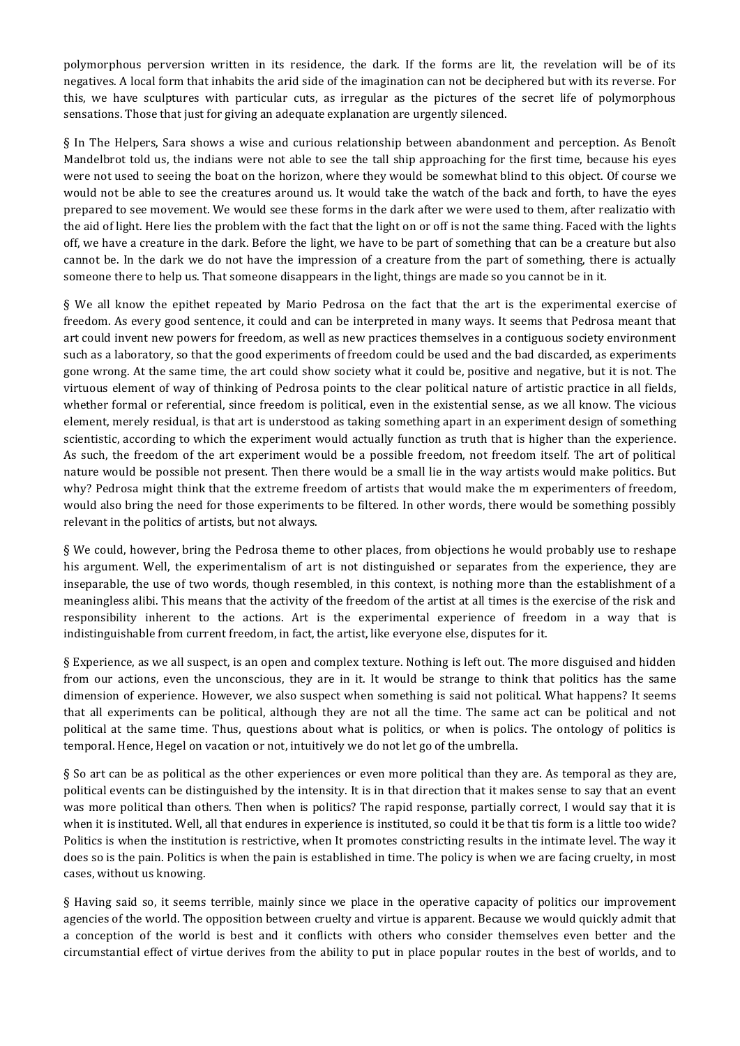polymorphous perversion written in its residence, the dark. If the forms are lit, the revelation will be of its negatives. A local form that inhabits the arid side of the imagination can not be deciphered but with its reverse. For this, we have sculptures with particular cuts, as irregular as the pictures of the secret life of polymorphous sensations. Those that just for giving an adequate explanation are urgently silenced.

§ In The Helpers, Sara shows a wise and curious relationship between abandonment and perception. As Benoît Mandelbrot told us, the indians were not able to see the tall ship approaching for the first time, because his eyes were not used to seeing the boat on the horizon, where they would be somewhat blind to this object. Of course we would not be able to see the creatures around us. It would take the watch of the back and forth, to have the eyes prepared to see movement. We would see these forms in the dark after we were used to them, after realizatio with the aid of light. Here lies the problem with the fact that the light on or off is not the same thing. Faced with the lights off, we have a creature in the dark. Before the light, we have to be part of something that can be a creature but also cannot be. In the dark we do not have the impression of a creature from the part of something, there is actually someone there to help us. That someone disappears in the light, things are made so you cannot be in it.

 $\S$  We all know the epithet repeated by Mario Pedrosa on the fact that the art is the experimental exercise of freedom. As every good sentence, it could and can be interpreted in many ways. It seems that Pedrosa meant that art could invent new powers for freedom, as well as new practices themselves in a contiguous society environment such as a laboratory, so that the good experiments of freedom could be used and the bad discarded, as experiments gone wrong. At the same time, the art could show society what it could be, positive and negative, but it is not. The virtuous element of way of thinking of Pedrosa points to the clear political nature of artistic practice in all fields, whether formal or referential, since freedom is political, even in the existential sense, as we all know. The vicious element, merely residual, is that art is understood as taking something apart in an experiment design of something scientistic, according to which the experiment would actually function as truth that is higher than the experience. As such, the freedom of the art experiment would be a possible freedom, not freedom itself. The art of political nature would be possible not present. Then there would be a small lie in the way artists would make politics. But why? Pedrosa might think that the extreme freedom of artists that would make the m experimenters of freedom, would also bring the need for those experiments to be filtered. In other words, there would be something possibly relevant in the politics of artists, but not always.

§ We could, however, bring the Pedrosa theme to other places, from objections he would probably use to reshape his argument. Well, the experimentalism of art is not distinguished or separates from the experience, they are inseparable, the use of two words, though resembled, in this context, is nothing more than the establishment of a meaningless alibi. This means that the activity of the freedom of the artist at all times is the exercise of the risk and responsibility inherent to the actions. Art is the experimental experience of freedom in a way that is indistinguishable from current freedom, in fact, the artist, like everyone else, disputes for it.

§ Experience, as we all suspect, is an open and complex texture. Nothing is left out. The more disguised and hidden from our actions, even the unconscious, they are in it. It would be strange to think that politics has the same dimension of experience. However, we also suspect when something is said not political. What happens? It seems that all experiments can be political, although they are not all the time. The same act can be political and not political at the same time. Thus, questions about what is politics, or when is polics. The ontology of politics is temporal. Hence, Hegel on vacation or not, intuitively we do not let go of the umbrella.

§ So art can be as political as the other experiences or even more political than they are. As temporal as they are, political events can be distinguished by the intensity. It is in that direction that it makes sense to say that an event was more political than others. Then when is politics? The rapid response, partially correct, I would say that it is when it is instituted. Well, all that endures in experience is instituted, so could it be that tis form is a little too wide? Politics is when the institution is restrictive, when It promotes constricting results in the intimate level. The way it does so is the pain. Politics is when the pain is established in time. The policy is when we are facing cruelty, in most cases, without us knowing.

§ Having said so, it seems terrible, mainly since we place in the operative capacity of politics our improvement agencies of the world. The opposition between cruelty and virtue is apparent. Because we would quickly admit that a conception of the world is best and it conflicts with others who consider themselves even better and the circumstantial effect of virtue derives from the ability to put in place popular routes in the best of worlds, and to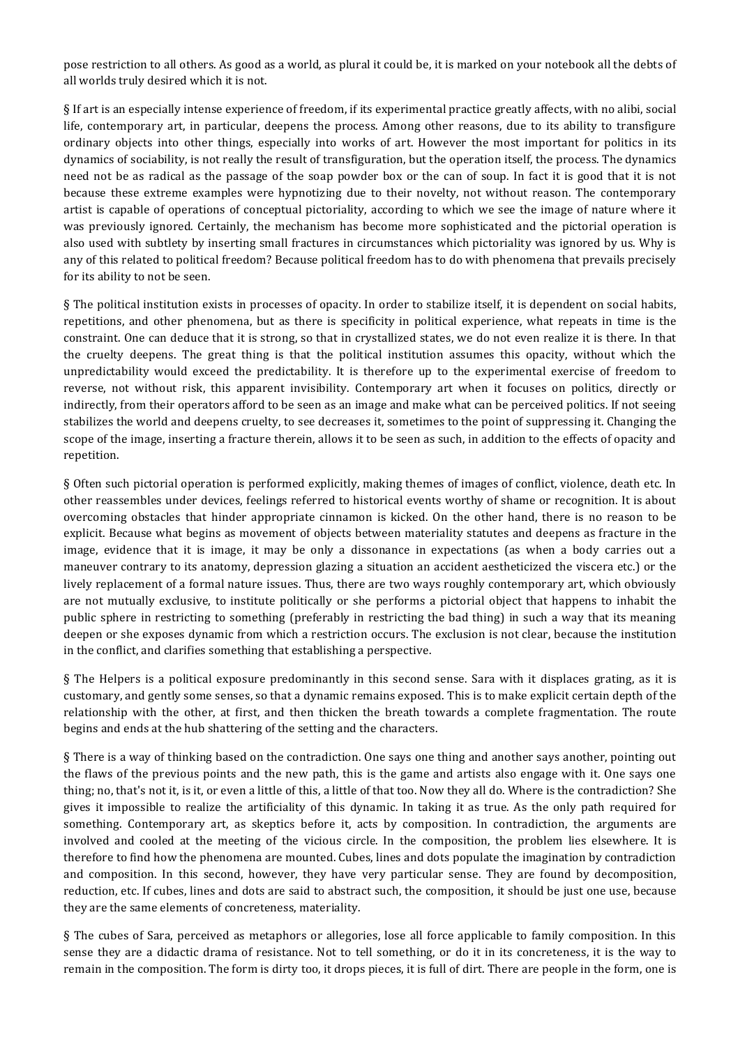pose restriction to all others. As good as a world, as plural it could be, it is marked on your notebook all the debts of all worlds truly desired which it is not.

§ If art is an especially intense experience of freedom, if its experimental practice greatly affects, with no alibi, social life, contemporary art, in particular, deepens the process. Among other reasons, due to its ability to transfigure ordinary objects into other things, especially into works of art. However the most important for politics in its dynamics of sociability, is not really the result of transfiguration, but the operation itself, the process. The dynamics need not be as radical as the passage of the soap powder box or the can of soup. In fact it is good that it is not because these extreme examples were hypnotizing due to their novelty, not without reason. The contemporary artist is capable of operations of conceptual pictoriality, according to which we see the image of nature where it was previously ignored. Certainly, the mechanism has become more sophisticated and the pictorial operation is also used with subtlety by inserting small fractures in circumstances which pictoriality was ignored by us. Why is any of this related to political freedom? Because political freedom has to do with phenomena that prevails precisely for its ability to not be seen.

§ The political institution exists in processes of opacity. In order to stabilize itself, it is dependent on social habits, repetitions, and other phenomena, but as there is specificity in political experience, what repeats in time is the constraint. One can deduce that it is strong, so that in crystallized states, we do not even realize it is there. In that the cruelty deepens. The great thing is that the political institution assumes this opacity, without which the unpredictability would exceed the predictability. It is therefore up to the experimental exercise of freedom to reverse, not without risk, this apparent invisibility. Contemporary art when it focuses on politics, directly or indirectly, from their operators afford to be seen as an image and make what can be perceived politics. If not seeing stabilizes the world and deepens cruelty, to see decreases it, sometimes to the point of suppressing it. Changing the scope of the image, inserting a fracture therein, allows it to be seen as such, in addition to the effects of opacity and repetition.

§ Often such pictorial operation is performed explicitly, making themes of images of conflict, violence, death etc. In other reassembles under devices, feelings referred to historical events worthy of shame or recognition. It is about overcoming obstacles that hinder appropriate cinnamon is kicked. On the other hand, there is no reason to be explicit. Because what begins as movement of objects between materiality statutes and deepens as fracture in the image, evidence that it is image, it may be only a dissonance in expectations (as when a body carries out a maneuver contrary to its anatomy, depression glazing a situation an accident aestheticized the viscera etc.) or the lively replacement of a formal nature issues. Thus, there are two ways roughly contemporary art, which obviously are not mutually exclusive, to institute politically or she performs a pictorial object that happens to inhabit the public sphere in restricting to something (preferably in restricting the bad thing) in such a way that its meaning deepen or she exposes dynamic from which a restriction occurs. The exclusion is not clear, because the institution in the conflict, and clarifies something that establishing a perspective.

§ The Helpers is a political exposure predominantly in this second sense. Sara with it displaces grating, as it is customary, and gently some senses, so that a dynamic remains exposed. This is to make explicit certain depth of the relationship with the other, at first, and then thicken the breath towards a complete fragmentation. The route begins and ends at the hub shattering of the setting and the characters.

§ There is a way of thinking based on the contradiction. One says one thing and another says another, pointing out the flaws of the previous points and the new path, this is the game and artists also engage with it. One says one thing; no, that's not it, is it, or even a little of this, a little of that too. Now they all do. Where is the contradiction? She gives it impossible to realize the artificiality of this dynamic. In taking it as true. As the only path required for something. Contemporary art, as skeptics before it, acts by composition. In contradiction, the arguments are involved and cooled at the meeting of the vicious circle. In the composition, the problem lies elsewhere. It is therefore to find how the phenomena are mounted. Cubes, lines and dots populate the imagination by contradiction and composition. In this second, however, they have very particular sense. They are found by decomposition, reduction, etc. If cubes, lines and dots are said to abstract such, the composition, it should be just one use, because they are the same elements of concreteness, materiality.

§ The cubes of Sara, perceived as metaphors or allegories, lose all force applicable to family composition. In this sense they are a didactic drama of resistance. Not to tell something, or do it in its concreteness, it is the way to remain in the composition. The form is dirty too, it drops pieces, it is full of dirt. There are people in the form, one is